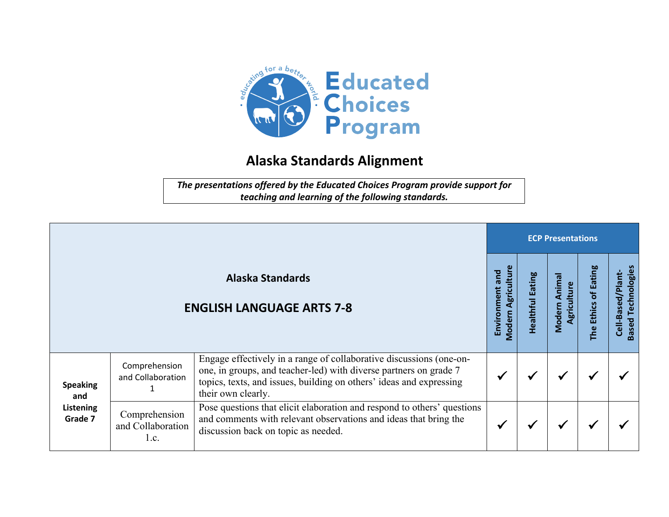

## **Alaska Standards Alignment**

*The presentations offered by the Educated Choices Program provide support for teaching and learning of the following standards.*

|                                                |                                            |                                                                                                                                                                                                                                       |                                              | <b>ECP Presentations</b> |                                       |                                          |                                                   |  |  |
|------------------------------------------------|--------------------------------------------|---------------------------------------------------------------------------------------------------------------------------------------------------------------------------------------------------------------------------------------|----------------------------------------------|--------------------------|---------------------------------------|------------------------------------------|---------------------------------------------------|--|--|
|                                                |                                            | <b>Alaska Standards</b><br><b>ENGLISH LANGUAGE ARTS 7-8</b>                                                                                                                                                                           | <b>Modern Agriculture</b><br>Environment and | Eating<br>Healthful      | Anima<br>Agriculture<br><b>Modern</b> | of Eating<br><b>Ethics</b><br><b>The</b> | Technologies<br>Cell-Based/Plant-<br><b>Based</b> |  |  |
| <b>Speaking</b><br>and<br>Listening<br>Grade 7 | Comprehension<br>and Collaboration         | Engage effectively in a range of collaborative discussions (one-on-<br>one, in groups, and teacher-led) with diverse partners on grade 7<br>topics, texts, and issues, building on others' ideas and expressing<br>their own clearly. |                                              |                          | ₩                                     |                                          |                                                   |  |  |
|                                                | Comprehension<br>and Collaboration<br>1.c. | Pose questions that elicit elaboration and respond to others' questions<br>and comments with relevant observations and ideas that bring the<br>discussion back on topic as needed.                                                    |                                              |                          | ✔                                     |                                          |                                                   |  |  |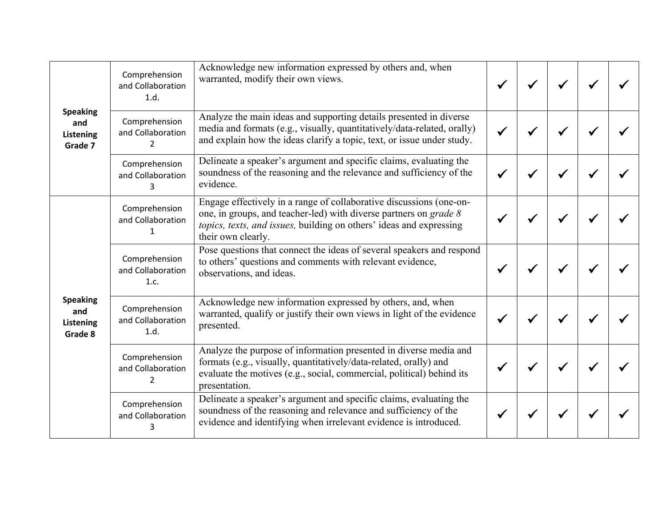| <b>Speaking</b><br>and<br>Listening<br>Grade 7 | Comprehension<br>and Collaboration<br>1.d.           | Acknowledge new information expressed by others and, when<br>warranted, modify their own views.                                                                                                                                       |  |  |  |
|------------------------------------------------|------------------------------------------------------|---------------------------------------------------------------------------------------------------------------------------------------------------------------------------------------------------------------------------------------|--|--|--|
|                                                | Comprehension<br>and Collaboration<br>$\overline{2}$ | Analyze the main ideas and supporting details presented in diverse<br>media and formats (e.g., visually, quantitatively/data-related, orally)<br>and explain how the ideas clarify a topic, text, or issue under study.               |  |  |  |
|                                                | Comprehension<br>and Collaboration<br>3              | Delineate a speaker's argument and specific claims, evaluating the<br>soundness of the reasoning and the relevance and sufficiency of the<br>evidence.                                                                                |  |  |  |
|                                                | Comprehension<br>and Collaboration                   | Engage effectively in a range of collaborative discussions (one-on-<br>one, in groups, and teacher-led) with diverse partners on grade 8<br>topics, texts, and issues, building on others' ideas and expressing<br>their own clearly. |  |  |  |
|                                                | Comprehension<br>and Collaboration<br>1.c.           | Pose questions that connect the ideas of several speakers and respond<br>to others' questions and comments with relevant evidence,<br>observations, and ideas.                                                                        |  |  |  |
| <b>Speaking</b><br>and<br>Listening<br>Grade 8 | Comprehension<br>and Collaboration<br>1.d.           | Acknowledge new information expressed by others, and, when<br>warranted, qualify or justify their own views in light of the evidence<br>presented.                                                                                    |  |  |  |
|                                                | Comprehension<br>and Collaboration<br>2              | Analyze the purpose of information presented in diverse media and<br>formats (e.g., visually, quantitatively/data-related, orally) and<br>evaluate the motives (e.g., social, commercial, political) behind its<br>presentation.      |  |  |  |
|                                                | Comprehension<br>and Collaboration<br>3              | Delineate a speaker's argument and specific claims, evaluating the<br>soundness of the reasoning and relevance and sufficiency of the<br>evidence and identifying when irrelevant evidence is introduced.                             |  |  |  |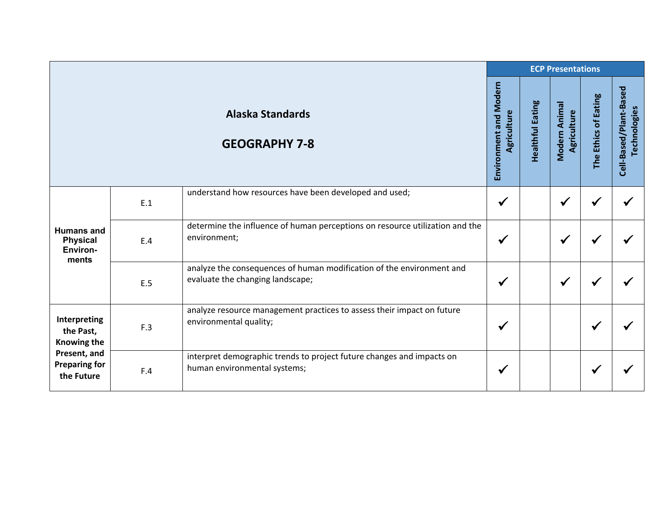|                                                                                                       |     |                                                                                                           |                                              |                  | <b>ECP Presentations</b>     |                      |                                        |
|-------------------------------------------------------------------------------------------------------|-----|-----------------------------------------------------------------------------------------------------------|----------------------------------------------|------------------|------------------------------|----------------------|----------------------------------------|
|                                                                                                       |     | <b>Alaska Standards</b><br><b>GEOGRAPHY 7-8</b>                                                           | <b>Environment and Modern</b><br>Agriculture | Healthful Eating | Modern Animal<br>Agriculture | The Ethics of Eating | Cell-Based/Plant-Based<br>Technologies |
| <b>Humans and</b><br><b>Physical</b><br>Environ-<br>ments                                             | E.1 | understand how resources have been developed and used;                                                    | $\checkmark$                                 |                  | $\checkmark$                 |                      |                                        |
|                                                                                                       | E.4 | determine the influence of human perceptions on resource utilization and the<br>environment;              | $\checkmark$                                 |                  | $\checkmark$                 |                      |                                        |
|                                                                                                       | E.5 | analyze the consequences of human modification of the environment and<br>evaluate the changing landscape; | $\checkmark$                                 |                  | $\checkmark$                 |                      |                                        |
| Interpreting<br>the Past,<br><b>Knowing the</b><br>Present, and<br><b>Preparing for</b><br>the Future | F.3 | analyze resource management practices to assess their impact on future<br>environmental quality;          | √                                            |                  |                              |                      |                                        |
|                                                                                                       | F.4 | interpret demographic trends to project future changes and impacts on<br>human environmental systems;     | ✔                                            |                  |                              |                      |                                        |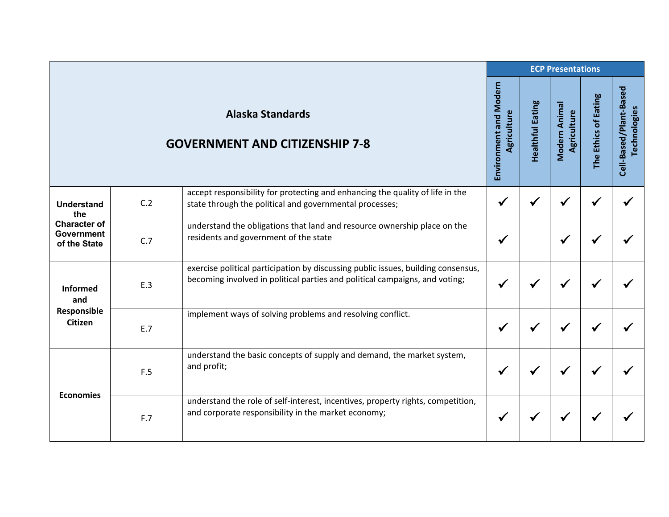|                                                          |     |                                                                                                                                                                  | <b>ECP Presentations</b>                     |                  |                              |                      |                                        |  |  |
|----------------------------------------------------------|-----|------------------------------------------------------------------------------------------------------------------------------------------------------------------|----------------------------------------------|------------------|------------------------------|----------------------|----------------------------------------|--|--|
|                                                          |     | <b>Alaska Standards</b><br><b>GOVERNMENT AND CITIZENSHIP 7-8</b>                                                                                                 | <b>Environment and Modern</b><br>Agriculture | Healthful Eating | Modern Animal<br>Agriculture | The Ethics of Eating | Cell-Based/Plant-Based<br>Technologies |  |  |
| <b>Understand</b><br>the                                 | C.2 | accept responsibility for protecting and enhancing the quality of life in the<br>state through the political and governmental processes;                         | $\checkmark$                                 |                  | √                            |                      |                                        |  |  |
| <b>Character of</b><br><b>Government</b><br>of the State | C.7 | understand the obligations that land and resource ownership place on the<br>residents and government of the state                                                | $\checkmark$                                 |                  | $\checkmark$                 |                      |                                        |  |  |
| <b>Informed</b><br>and                                   | E.3 | exercise political participation by discussing public issues, building consensus,<br>becoming involved in political parties and political campaigns, and voting; | ✔                                            | ✔                |                              |                      |                                        |  |  |
| Responsible<br><b>Citizen</b>                            | E.7 | implement ways of solving problems and resolving conflict.                                                                                                       | ✔                                            |                  |                              |                      |                                        |  |  |
| <b>Economies</b>                                         | F.5 | understand the basic concepts of supply and demand, the market system,<br>and profit;                                                                            | $\checkmark$                                 | $\checkmark$     | ✔                            |                      |                                        |  |  |
|                                                          | F.7 | understand the role of self-interest, incentives, property rights, competition,<br>and corporate responsibility in the market economy;                           | ✔                                            |                  |                              |                      |                                        |  |  |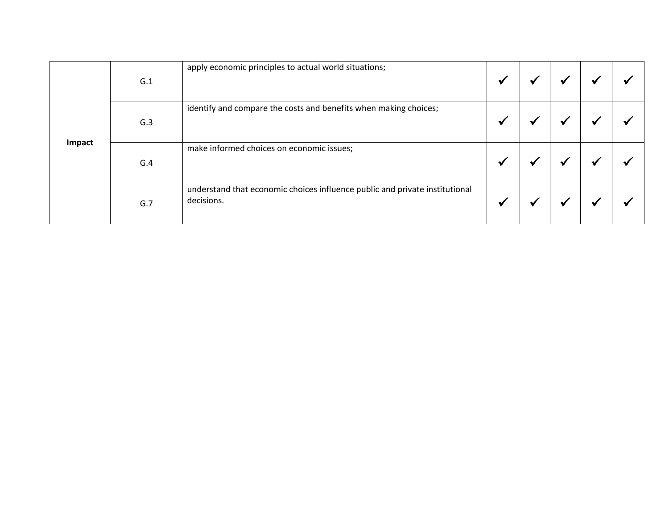|        | G.1 | apply economic principles to actual world situations;                                     | $\bullet$               |  |  |
|--------|-----|-------------------------------------------------------------------------------------------|-------------------------|--|--|
|        | G.3 | identify and compare the costs and benefits when making choices;                          | $\overline{\mathbf{u}}$ |  |  |
| Impact | G.4 | make informed choices on economic issues;                                                 |                         |  |  |
|        | G.7 | understand that economic choices influence public and private institutional<br>decisions. | M                       |  |  |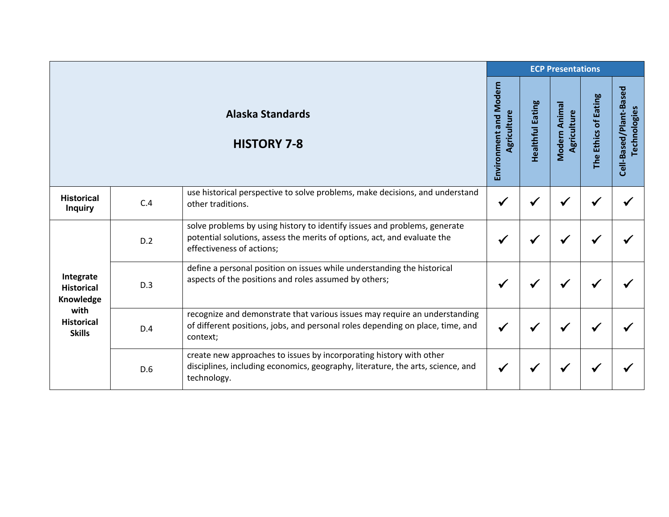|                                                                                           |     |                                                                                                                                                                                    |                                       |                         | <b>ECP Presentations</b>    |                      |                                        |
|-------------------------------------------------------------------------------------------|-----|------------------------------------------------------------------------------------------------------------------------------------------------------------------------------------|---------------------------------------|-------------------------|-----------------------------|----------------------|----------------------------------------|
|                                                                                           |     | <b>Alaska Standards</b><br><b>HISTORY 7-8</b>                                                                                                                                      | Environment and Modern<br>Agriculture | <b>Healthful Eating</b> | Modern Anima<br>Agriculture | The Ethics of Eating | Cell-Based/Plant-Based<br>Technologies |
| <b>Historical</b><br><b>Inquiry</b>                                                       | C.4 | use historical perspective to solve problems, make decisions, and understand<br>other traditions.                                                                                  | $\checkmark$                          | √                       |                             |                      |                                        |
| Integrate<br><b>Historical</b><br>Knowledge<br>with<br><b>Historical</b><br><b>Skills</b> | D.2 | solve problems by using history to identify issues and problems, generate<br>potential solutions, assess the merits of options, act, and evaluate the<br>effectiveness of actions; | ✔                                     | ✔                       |                             |                      |                                        |
|                                                                                           | D.3 | define a personal position on issues while understanding the historical<br>aspects of the positions and roles assumed by others;                                                   | √                                     | √                       |                             |                      |                                        |
|                                                                                           | D.4 | recognize and demonstrate that various issues may require an understanding<br>of different positions, jobs, and personal roles depending on place, time, and<br>context;           | $\checkmark$                          | ✔                       | ✔                           |                      |                                        |
|                                                                                           | D.6 | create new approaches to issues by incorporating history with other<br>disciplines, including economics, geography, literature, the arts, science, and<br>technology.              | $\checkmark$                          | √                       |                             |                      |                                        |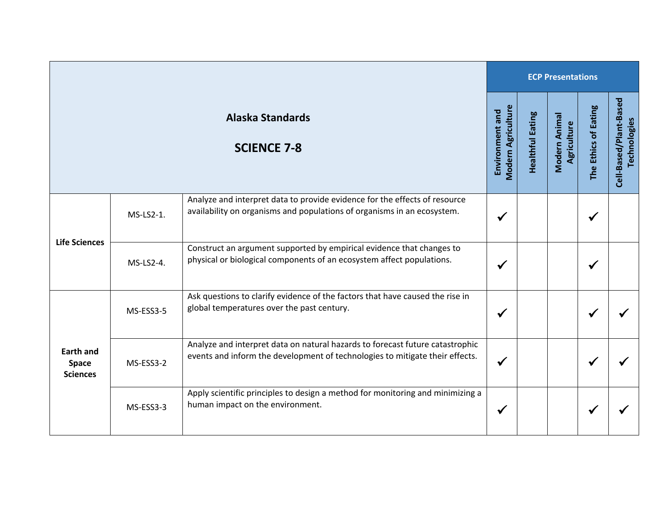|                                                     |           |                                                                                                                                                               | <b>ECP Presentations</b>                     |                         |                              |                      |                                        |  |
|-----------------------------------------------------|-----------|---------------------------------------------------------------------------------------------------------------------------------------------------------------|----------------------------------------------|-------------------------|------------------------------|----------------------|----------------------------------------|--|
|                                                     |           | <b>Alaska Standards</b><br><b>SCIENCE 7-8</b>                                                                                                                 | <b>Modern Agriculture</b><br>Environment and | <b>Healthful Eating</b> | Modern Animal<br>Agriculture | The Ethics of Eating | Cell-Based/Plant-Based<br>Technologies |  |
| <b>Life Sciences</b>                                | MS-LS2-1. | Analyze and interpret data to provide evidence for the effects of resource<br>availability on organisms and populations of organisms in an ecosystem.         |                                              |                         |                              | ✔                    |                                        |  |
|                                                     | MS-LS2-4. | Construct an argument supported by empirical evidence that changes to<br>physical or biological components of an ecosystem affect populations.                |                                              |                         |                              |                      |                                        |  |
| <b>Earth and</b><br><b>Space</b><br><b>Sciences</b> | MS-ESS3-5 | Ask questions to clarify evidence of the factors that have caused the rise in<br>global temperatures over the past century.                                   |                                              |                         |                              |                      |                                        |  |
|                                                     | MS-ESS3-2 | Analyze and interpret data on natural hazards to forecast future catastrophic<br>events and inform the development of technologies to mitigate their effects. |                                              |                         |                              | √                    |                                        |  |
|                                                     | MS-ESS3-3 | Apply scientific principles to design a method for monitoring and minimizing a<br>human impact on the environment.                                            | ✔                                            |                         |                              |                      |                                        |  |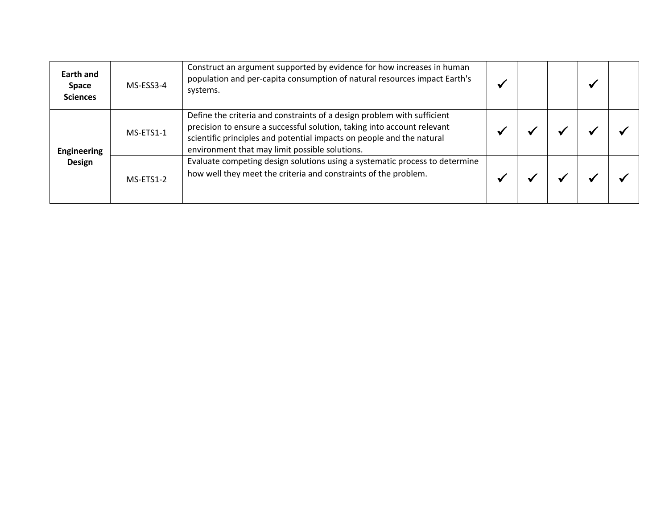| <b>Earth and</b><br><b>Space</b><br><b>Sciences</b> | MS-ESS3-4 | Construct an argument supported by evidence for how increases in human<br>population and per-capita consumption of natural resources impact Earth's<br>systems.                                                                                                               |  |  |  |
|-----------------------------------------------------|-----------|-------------------------------------------------------------------------------------------------------------------------------------------------------------------------------------------------------------------------------------------------------------------------------|--|--|--|
| <b>Engineering</b><br><b>Design</b>                 | MS-ETS1-1 | Define the criteria and constraints of a design problem with sufficient<br>precision to ensure a successful solution, taking into account relevant<br>scientific principles and potential impacts on people and the natural<br>environment that may limit possible solutions. |  |  |  |
|                                                     | MS-ETS1-2 | Evaluate competing design solutions using a systematic process to determine<br>how well they meet the criteria and constraints of the problem.                                                                                                                                |  |  |  |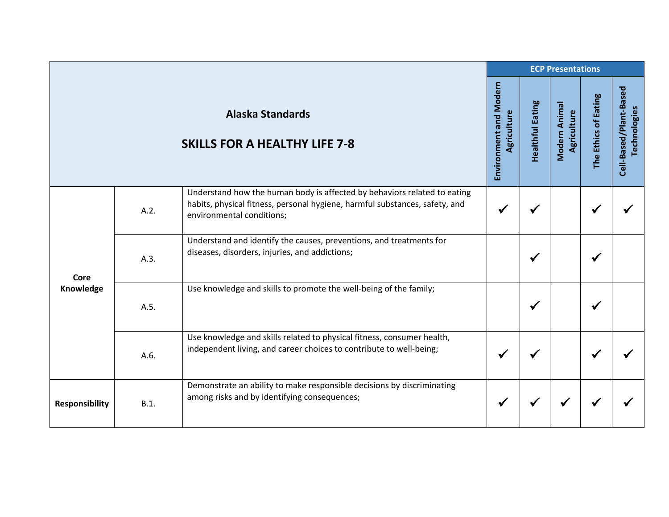|                       |      |                                                                                                                                                                                      |                                       |                         | <b>ECP Presentations</b>     |                      |                                        |
|-----------------------|------|--------------------------------------------------------------------------------------------------------------------------------------------------------------------------------------|---------------------------------------|-------------------------|------------------------------|----------------------|----------------------------------------|
|                       |      | <b>Alaska Standards</b><br><b>SKILLS FOR A HEALTHY LIFE 7-8</b>                                                                                                                      | Environment and Modern<br>Agriculture | <b>Healthful Eating</b> | Modern Animal<br>Agriculture | The Ethics of Eating | Cell-Based/Plant-Based<br>Technologies |
| Core<br>Knowledge     | A.2. | Understand how the human body is affected by behaviors related to eating<br>habits, physical fitness, personal hygiene, harmful substances, safety, and<br>environmental conditions; | $\checkmark$                          |                         |                              |                      |                                        |
|                       | A.3. | Understand and identify the causes, preventions, and treatments for<br>diseases, disorders, injuries, and addictions;                                                                |                                       | $\checkmark$            |                              |                      |                                        |
|                       | A.5. | Use knowledge and skills to promote the well-being of the family;                                                                                                                    |                                       | ✔                       |                              |                      |                                        |
|                       | A.6. | Use knowledge and skills related to physical fitness, consumer health,<br>independent living, and career choices to contribute to well-being;                                        | $\checkmark$                          |                         |                              |                      |                                        |
| <b>Responsibility</b> | B.1. | Demonstrate an ability to make responsible decisions by discriminating<br>among risks and by identifying consequences;                                                               | $\checkmark$                          | √                       | ✔                            |                      |                                        |